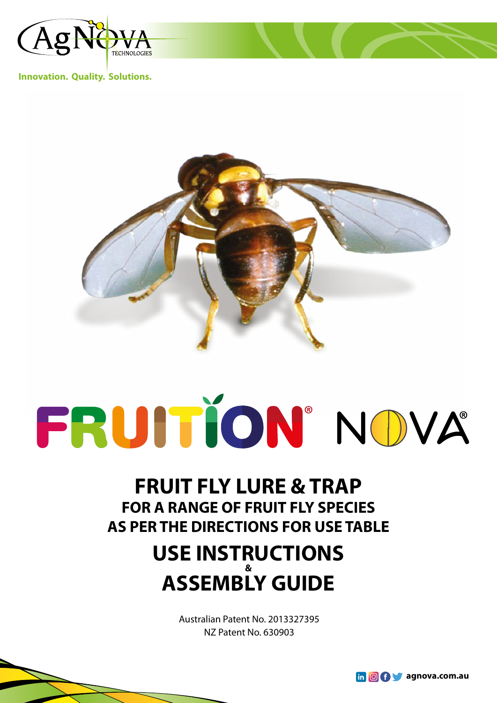

**Innovation. Quality. Solutions.**



# FRUITION' NOVA

## **FRUIT FLY LURE & TRAP FOR A RANGE OF FRUIT FLY SPECIES AS PER THE DIRECTIONS FOR USE TABLE**

### **USE INSTRUCTIONS & ASSEMBLY GUIDE**

Australian Patent No. 2013327395 NZ Patent No. 630903

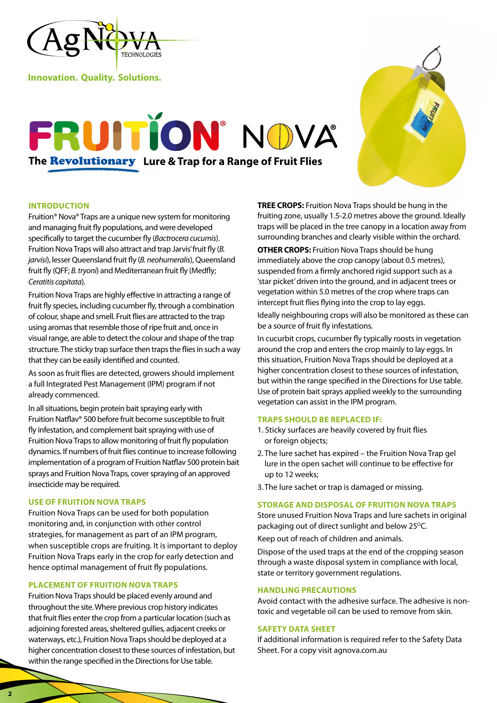

**Innovation. Quality. Solutions.**

# FRUITION' NOVA **The** Revolutionary **Lure & Trap for a Range of Fruit Flies**



#### **INTRODUCTION**

Fruition® Nova® Traps are a unique new system for monitoring and managing fruit fly populations, and were developed specifically to target the cucumber fly (*Bactrocera cucumis*). Fruition Nova Traps will also attract and trap Jarvis' fruit fly (*B. jarvisi*), lesser Queensland fruit fly (*B. neohumeralis*), Queensland fruit fly (QFF; *B. tryoni*) and Mediterranean fruit fly (Medfly; *Ceratitis capitata*).

Fruition Nova Traps are highly effective in attracting a range of fruit fly species, including cucumber fly, through a combination of colour, shape and smell. Fruit flies are attracted to the trap using aromas that resemble those of ripe fruit and, once in visual range, are able to detect the colour and shape of the trap structure. The sticky trap surface then traps the flies in such a way that they can be easily identified and counted.

As soon as fruit flies are detected, growers should implement a full Integrated Pest Management (IPM) program if not already commenced.

In all situations, begin protein bait spraying early with Fruition Natflav® 500 before fruit become susceptible to fruit fly infestation, and complement bait spraying with use of Fruition Nova Traps to allow monitoring of fruit fly population dynamics. If numbers of fruit flies continue to increase following implementation of a program of Fruition Natflav 500 protein bait sprays and Fruition Nova Traps, cover spraying of an approved insecticide may be required.

#### **USE OF FRUITION NOVA TRAPS**

Fruition Nova Traps can be used for both population monitoring and, in conjunction with other control strategies, for management as part of an IPM program, when susceptible crops are fruiting. It is important to deploy Fruition Nova Traps early in the crop for early detection and hence optimal management of fruit fly populations.

#### **PLACEMENT OF FRUITION NOVA TRAPS**

Fruition Nova Traps should be placed evenly around and throughout the site. Where previous crop history indicates that fruit flies enter the crop from a particular location (such as adjoining forested areas, sheltered gullies, adjacent creeks or waterways, etc.), Fruition Nova Traps should be deployed at a higher concentration closest to these sources of infestation, but within the range specified in the Directions for Use table.

**TREE CROPS:** Fruition Nova Traps should be hung in the fruiting zone, usually 1.5-2.0 metres above the ground. Ideally traps will be placed in the tree canopy in a location away from surrounding branches and clearly visible within the orchard.

**OTHER CROPS:** Fruition Nova Traps should be hung immediately above the crop canopy (about 0.5 metres), suspended from a firmly anchored rigid support such as a 'star picket' driven into the ground, and in adjacent trees or vegetation within 5.0 metres of the crop where traps can intercept fruit flies flying into the crop to lay eggs.

Ideally neighbouring crops will also be monitored as these can be a source of fruit fly infestations.

In cucurbit crops, cucumber fly typically roosts in vegetation around the crop and enters the crop mainly to lay eggs. In this situation, Fruition Nova Traps should be deployed at a higher concentration closest to these sources of infestation, but within the range specified in the Directions for Use table. Use of protein bait sprays applied weekly to the surrounding vegetation can assist in the IPM program.

#### **TRAPS SHOULD BE REPLACED IF:**

- 1. Sticky surfaces are heavily covered by fruit flies or foreign objects;
- 2. The lure sachet has expired the Fruition Nova Trap gel lure in the open sachet will continue to be effective for up to 12 weeks;
- 3. The lure sachet or trap is damaged or missing.

#### **STORAGE AND DISPOSAL OF FRUITION NOVA TRAPS**

Store unused Fruition Nova Traps and lure sachets in original packaging out of direct sunlight and below 25°C. Keep out of reach of children and animals.

Dispose of the used traps at the end of the cropping season through a waste disposal system in compliance with local, state or territory government regulations.

#### **HANDLING PRECAUTIONS**

Avoid contact with the adhesive surface. The adhesive is nontoxic and vegetable oil can be used to remove from skin.

#### **SAFETY DATA SHEET**

If additional information is required refer to the Safety Data Sheet. For a copy visit agnova.com.au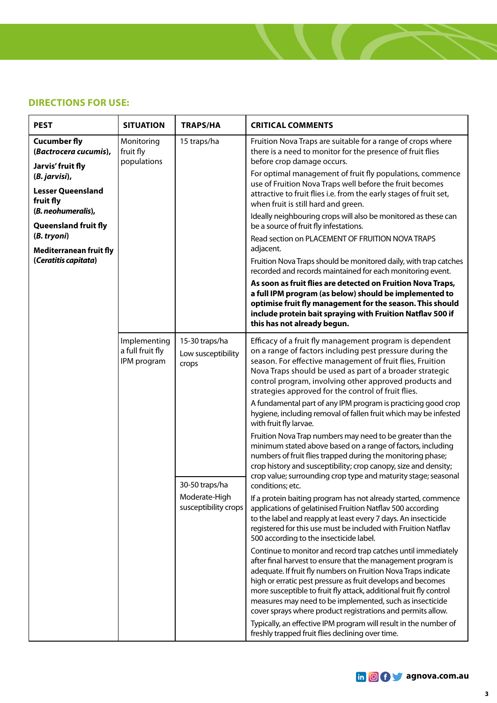#### **DIRECTIONS FOR USE:**

| <b>PEST</b>                                                                 | <b>SITUATION</b>                                | <b>TRAPS/HA</b>                                                                                          | <b>CRITICAL COMMENTS</b>                                                                                                                                                                                                                                                                                                                                                                                                                                                                                                                                                                |
|-----------------------------------------------------------------------------|-------------------------------------------------|----------------------------------------------------------------------------------------------------------|-----------------------------------------------------------------------------------------------------------------------------------------------------------------------------------------------------------------------------------------------------------------------------------------------------------------------------------------------------------------------------------------------------------------------------------------------------------------------------------------------------------------------------------------------------------------------------------------|
| <b>Cucumber fly</b><br>(Bactrocera cucumis),                                | Monitoring<br>fruit fly<br>populations          | 15 traps/ha                                                                                              | Fruition Nova Traps are suitable for a range of crops where<br>there is a need to monitor for the presence of fruit flies<br>before crop damage occurs.                                                                                                                                                                                                                                                                                                                                                                                                                                 |
| Jarvis' fruit fly<br>(B. jarvisi),<br><b>Lesser Queensland</b><br>fruit fly |                                                 |                                                                                                          | For optimal management of fruit fly populations, commence<br>use of Fruition Nova Traps well before the fruit becomes<br>attractive to fruit flies i.e. from the early stages of fruit set,                                                                                                                                                                                                                                                                                                                                                                                             |
| (B. neohumeralis),<br>Queensland fruit fly                                  |                                                 |                                                                                                          | when fruit is still hard and green.<br>Ideally neighbouring crops will also be monitored as these can<br>be a source of fruit fly infestations.                                                                                                                                                                                                                                                                                                                                                                                                                                         |
| (B. tryoni)                                                                 |                                                 |                                                                                                          | Read section on PLACEMENT OF FRUITION NOVA TRAPS<br>adjacent.                                                                                                                                                                                                                                                                                                                                                                                                                                                                                                                           |
| Mediterranean fruit fly<br>(Ceratitis capitata)                             |                                                 |                                                                                                          | Fruition Nova Traps should be monitored daily, with trap catches<br>recorded and records maintained for each monitoring event.                                                                                                                                                                                                                                                                                                                                                                                                                                                          |
|                                                                             |                                                 |                                                                                                          | As soon as fruit flies are detected on Fruition Nova Traps,<br>a full IPM program (as below) should be implemented to<br>optimise fruit fly management for the season. This should<br>include protein bait spraying with Fruition Natflav 500 if<br>this has not already begun.                                                                                                                                                                                                                                                                                                         |
|                                                                             | Implementing<br>a full fruit fly<br>IPM program | 15-30 traps/ha<br>Low susceptibility<br>crops<br>30-50 traps/ha<br>Moderate-High<br>susceptibility crops | Efficacy of a fruit fly management program is dependent<br>on a range of factors including pest pressure during the<br>season. For effective management of fruit flies, Fruition<br>Nova Traps should be used as part of a broader strategic<br>control program, involving other approved products and<br>strategies approved for the control of fruit flies.                                                                                                                                                                                                                           |
|                                                                             |                                                 |                                                                                                          | A fundamental part of any IPM program is practicing good crop<br>hygiene, including removal of fallen fruit which may be infested<br>with fruit fly larvae.                                                                                                                                                                                                                                                                                                                                                                                                                             |
|                                                                             |                                                 |                                                                                                          | Fruition Nova Trap numbers may need to be greater than the<br>minimum stated above based on a range of factors, including<br>numbers of fruit flies trapped during the monitoring phase;<br>crop history and susceptibility; crop canopy, size and density;<br>crop value; surrounding crop type and maturity stage; seasonal                                                                                                                                                                                                                                                           |
|                                                                             |                                                 |                                                                                                          | conditions; etc.<br>If a protein baiting program has not already started, commence<br>applications of gelatinised Fruition Natflav 500 according<br>to the label and reapply at least every 7 days. An insecticide<br>registered for this use must be included with Fruition Natflav<br>500 according to the insecticide label.                                                                                                                                                                                                                                                         |
|                                                                             |                                                 |                                                                                                          | Continue to monitor and record trap catches until immediately<br>after final harvest to ensure that the management program is<br>adequate. If fruit fly numbers on Fruition Nova Traps indicate<br>high or erratic pest pressure as fruit develops and becomes<br>more susceptible to fruit fly attack, additional fruit fly control<br>measures may need to be implemented, such as insecticide<br>cover sprays where product registrations and permits allow.<br>Typically, an effective IPM program will result in the number of<br>freshly trapped fruit flies declining over time. |